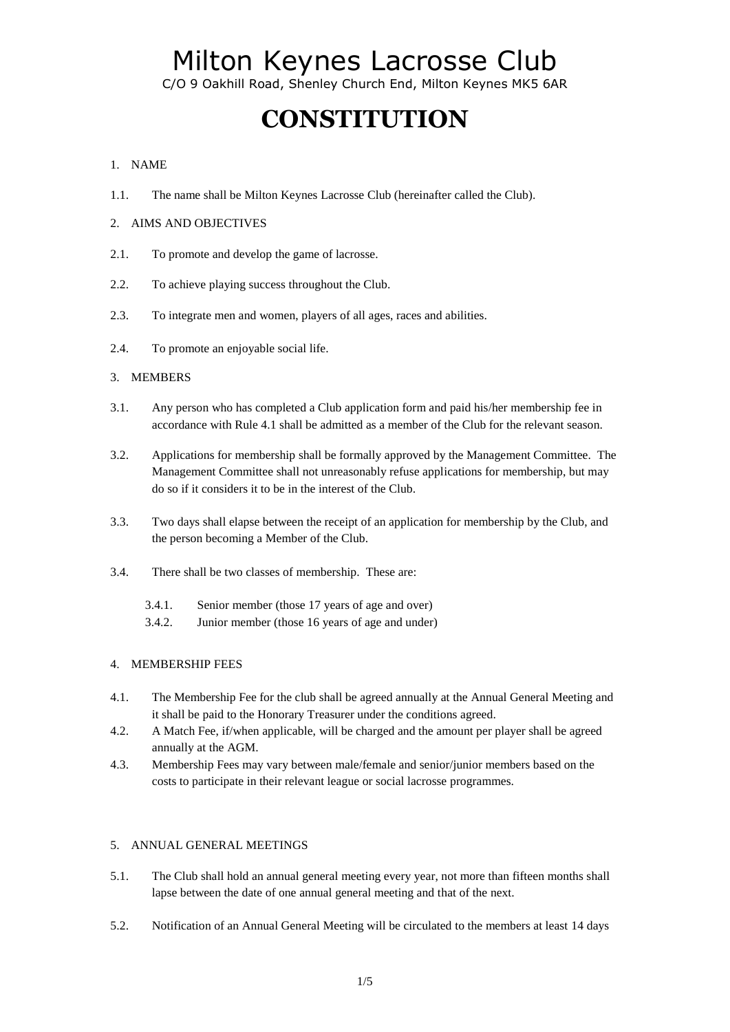C/O 9 Oakhill Road, Shenley Church End, Milton Keynes MK5 6AR

# **CONSTITUTION**

## 1. NAME

- 1.1. The name shall be Milton Keynes Lacrosse Club (hereinafter called the Club).
- 2. AIMS AND OBJECTIVES
- 2.1. To promote and develop the game of lacrosse.
- 2.2. To achieve playing success throughout the Club.
- 2.3. To integrate men and women, players of all ages, races and abilities.
- 2.4. To promote an enjoyable social life.

## 3. MEMBERS

- 3.1. Any person who has completed a Club application form and paid his/her membership fee in accordance with Rule 4.1 shall be admitted as a member of the Club for the relevant season.
- 3.2. Applications for membership shall be formally approved by the Management Committee. The Management Committee shall not unreasonably refuse applications for membership, but may do so if it considers it to be in the interest of the Club.
- 3.3. Two days shall elapse between the receipt of an application for membership by the Club, and the person becoming a Member of the Club.
- 3.4. There shall be two classes of membership. These are:
	- 3.4.1. Senior member (those 17 years of age and over)
	- 3.4.2. Junior member (those 16 years of age and under)

### 4. MEMBERSHIP FEES

- 4.1. The Membership Fee for the club shall be agreed annually at the Annual General Meeting and it shall be paid to the Honorary Treasurer under the conditions agreed.
- 4.2. A Match Fee, if/when applicable, will be charged and the amount per player shall be agreed annually at the AGM.
- 4.3. Membership Fees may vary between male/female and senior/junior members based on the costs to participate in their relevant league or social lacrosse programmes.

### 5. ANNUAL GENERAL MEETINGS

- 5.1. The Club shall hold an annual general meeting every year, not more than fifteen months shall lapse between the date of one annual general meeting and that of the next.
- 5.2. Notification of an Annual General Meeting will be circulated to the members at least 14 days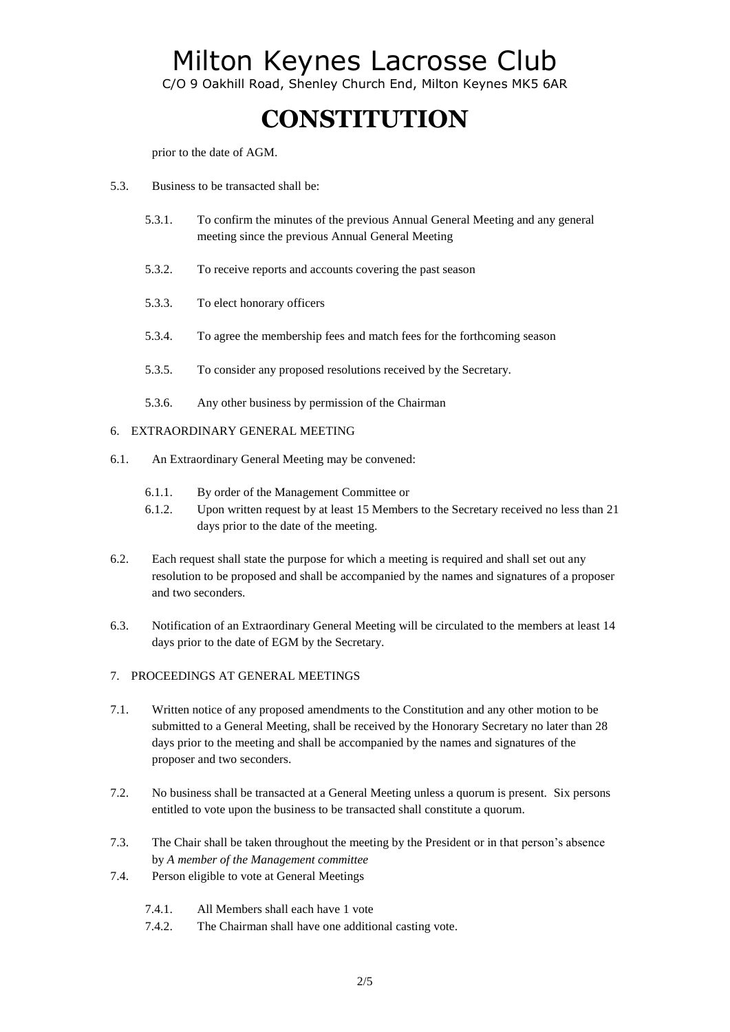C/O 9 Oakhill Road, Shenley Church End, Milton Keynes MK5 6AR

# **CONSTITUTION**

prior to the date of AGM.

- 5.3. Business to be transacted shall be:
	- 5.3.1. To confirm the minutes of the previous Annual General Meeting and any general meeting since the previous Annual General Meeting
	- 5.3.2. To receive reports and accounts covering the past season
	- 5.3.3. To elect honorary officers
	- 5.3.4. To agree the membership fees and match fees for the forthcoming season
	- 5.3.5. To consider any proposed resolutions received by the Secretary.
	- 5.3.6. Any other business by permission of the Chairman

#### 6. EXTRAORDINARY GENERAL MEETING

- 6.1. An Extraordinary General Meeting may be convened:
	- 6.1.1. By order of the Management Committee or
	- 6.1.2. Upon written request by at least 15 Members to the Secretary received no less than 21 days prior to the date of the meeting.
- 6.2. Each request shall state the purpose for which a meeting is required and shall set out any resolution to be proposed and shall be accompanied by the names and signatures of a proposer and two seconders.
- 6.3. Notification of an Extraordinary General Meeting will be circulated to the members at least 14 days prior to the date of EGM by the Secretary.

### 7. PROCEEDINGS AT GENERAL MEETINGS

- 7.1. Written notice of any proposed amendments to the Constitution and any other motion to be submitted to a General Meeting, shall be received by the Honorary Secretary no later than 28 days prior to the meeting and shall be accompanied by the names and signatures of the proposer and two seconders.
- 7.2. No business shall be transacted at a General Meeting unless a quorum is present. Six persons entitled to vote upon the business to be transacted shall constitute a quorum.
- 7.3. The Chair shall be taken throughout the meeting by the President or in that person's absence by *A member of the Management committee*
- 7.4. Person eligible to vote at General Meetings
	- 7.4.1. All Members shall each have 1 vote
	- 7.4.2. The Chairman shall have one additional casting vote.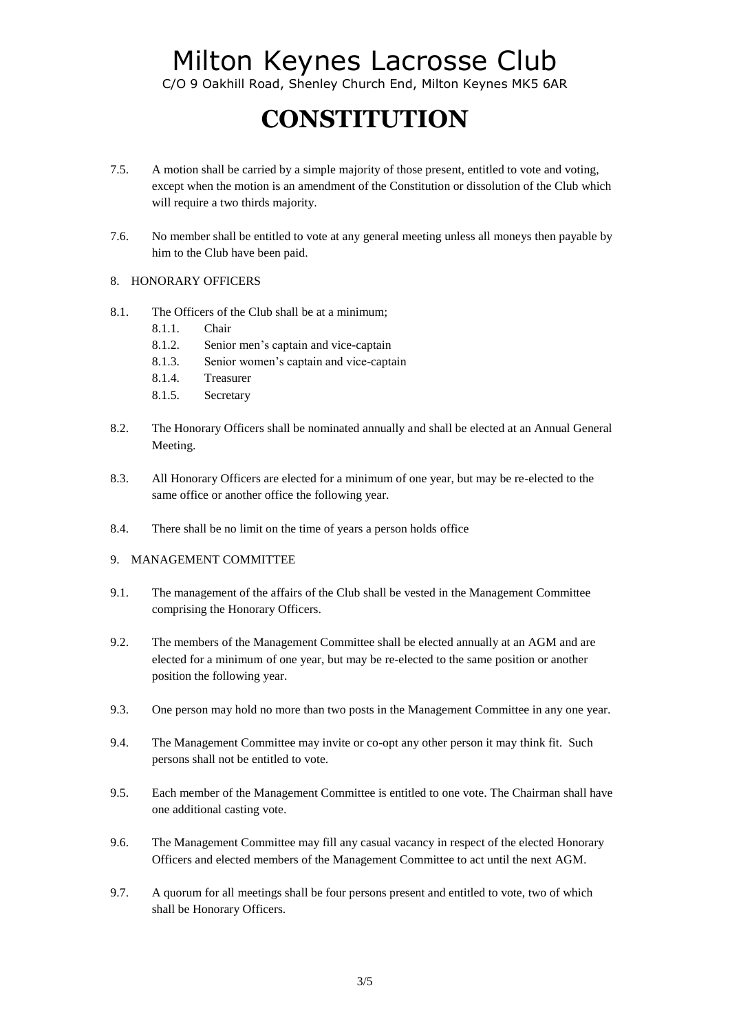C/O 9 Oakhill Road, Shenley Church End, Milton Keynes MK5 6AR

# **CONSTITUTION**

- 7.5. A motion shall be carried by a simple majority of those present, entitled to vote and voting, except when the motion is an amendment of the Constitution or dissolution of the Club which will require a two thirds majority.
- 7.6. No member shall be entitled to vote at any general meeting unless all moneys then payable by him to the Club have been paid.
- 8. HONORARY OFFICERS
- 8.1. The Officers of the Club shall be at a minimum;
	- 8.1.1. Chair
	- 8.1.2. Senior men's captain and vice-captain
	- 8.1.3. Senior women's captain and vice-captain
	- 8.1.4. Treasurer
	- 8.1.5. Secretary
- 8.2. The Honorary Officers shall be nominated annually and shall be elected at an Annual General Meeting.
- 8.3. All Honorary Officers are elected for a minimum of one year, but may be re-elected to the same office or another office the following year.
- 8.4. There shall be no limit on the time of years a person holds office

#### 9. MANAGEMENT COMMITTEE

- 9.1. The management of the affairs of the Club shall be vested in the Management Committee comprising the Honorary Officers.
- 9.2. The members of the Management Committee shall be elected annually at an AGM and are elected for a minimum of one year, but may be re-elected to the same position or another position the following year.
- 9.3. One person may hold no more than two posts in the Management Committee in any one year.
- 9.4. The Management Committee may invite or co-opt any other person it may think fit. Such persons shall not be entitled to vote.
- 9.5. Each member of the Management Committee is entitled to one vote. The Chairman shall have one additional casting vote.
- 9.6. The Management Committee may fill any casual vacancy in respect of the elected Honorary Officers and elected members of the Management Committee to act until the next AGM.
- 9.7. A quorum for all meetings shall be four persons present and entitled to vote, two of which shall be Honorary Officers.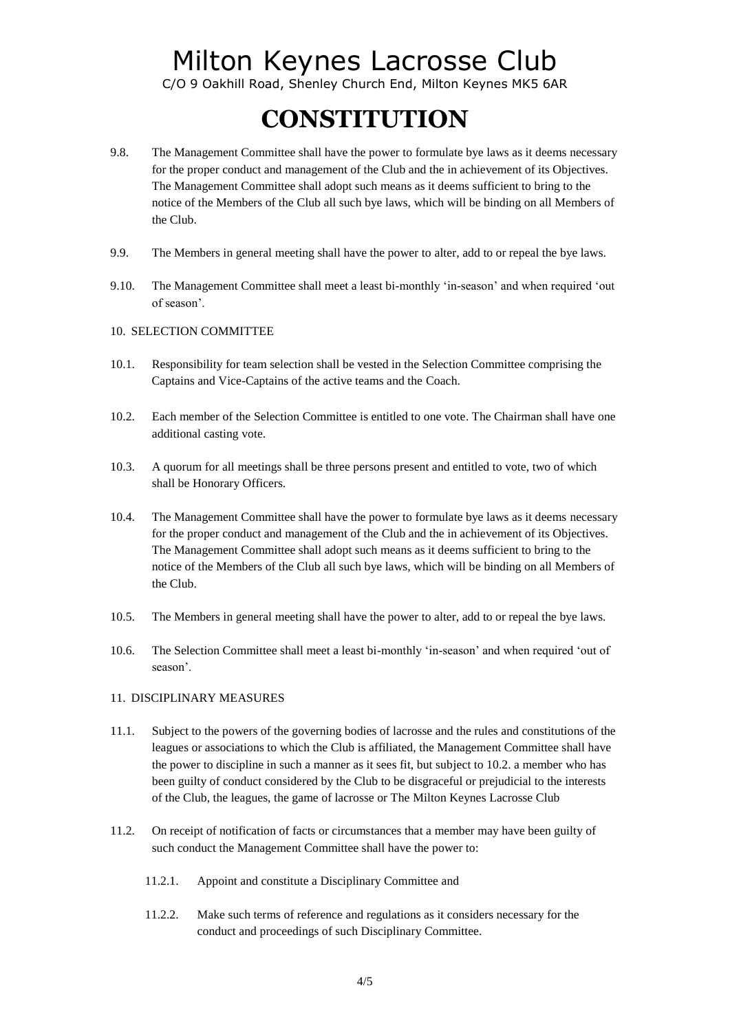C/O 9 Oakhill Road, Shenley Church End, Milton Keynes MK5 6AR

# **CONSTITUTION**

- 9.8. The Management Committee shall have the power to formulate bye laws as it deems necessary for the proper conduct and management of the Club and the in achievement of its Objectives. The Management Committee shall adopt such means as it deems sufficient to bring to the notice of the Members of the Club all such bye laws, which will be binding on all Members of the Club.
- 9.9. The Members in general meeting shall have the power to alter, add to or repeal the bye laws.
- 9.10. The Management Committee shall meet a least bi-monthly 'in-season' and when required 'out of season'.
- 10. SELECTION COMMITTEE
- 10.1. Responsibility for team selection shall be vested in the Selection Committee comprising the Captains and Vice-Captains of the active teams and the Coach.
- 10.2. Each member of the Selection Committee is entitled to one vote. The Chairman shall have one additional casting vote.
- 10.3. A quorum for all meetings shall be three persons present and entitled to vote, two of which shall be Honorary Officers.
- 10.4. The Management Committee shall have the power to formulate bye laws as it deems necessary for the proper conduct and management of the Club and the in achievement of its Objectives. The Management Committee shall adopt such means as it deems sufficient to bring to the notice of the Members of the Club all such bye laws, which will be binding on all Members of the Club.
- 10.5. The Members in general meeting shall have the power to alter, add to or repeal the bye laws.
- 10.6. The Selection Committee shall meet a least bi-monthly 'in-season' and when required 'out of season'.

#### 11. DISCIPLINARY MEASURES

- 11.1. Subject to the powers of the governing bodies of lacrosse and the rules and constitutions of the leagues or associations to which the Club is affiliated, the Management Committee shall have the power to discipline in such a manner as it sees fit, but subject to 10.2. a member who has been guilty of conduct considered by the Club to be disgraceful or prejudicial to the interests of the Club, the leagues, the game of lacrosse or The Milton Keynes Lacrosse Club
- 11.2. On receipt of notification of facts or circumstances that a member may have been guilty of such conduct the Management Committee shall have the power to:
	- 11.2.1. Appoint and constitute a Disciplinary Committee and
	- 11.2.2. Make such terms of reference and regulations as it considers necessary for the conduct and proceedings of such Disciplinary Committee.